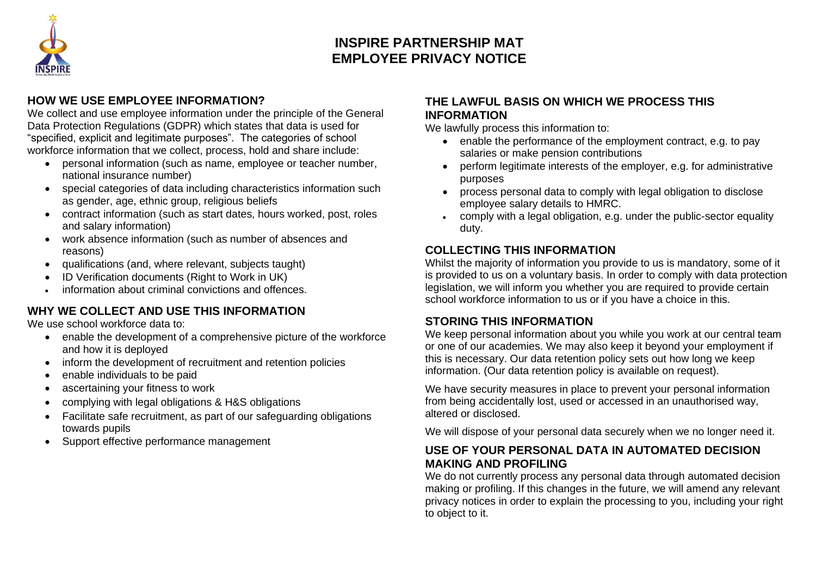

# **INSPIRE PARTNERSHIP MAT EMPLOYEE PRIVACY NOTICE**

### **HOW WE USE EMPLOYEE INFORMATION?**

We collect and use employee information under the principle of the General Data Protection Regulations (GDPR) which states that data is used for "specified, explicit and legitimate purposes". The categories of school workforce information that we collect, process, hold and share include:

- personal information (such as name, employee or teacher number, national insurance number)
- special categories of data including characteristics information such as gender, age, ethnic group, religious beliefs
- contract information (such as start dates, hours worked, post, roles and salary information)
- work absence information (such as number of absences and reasons)
- qualifications (and, where relevant, subjects taught)
- ID Verification documents (Right to Work in UK)
- information about criminal convictions and offences.

## **WHY WE COLLECT AND USE THIS INFORMATION**

We use school workforce data to:

- enable the development of a comprehensive picture of the workforce and how it is deployed
- inform the development of recruitment and retention policies
- enable individuals to be paid
- ascertaining your fitness to work
- complying with legal obligations & H&S obligations
- Facilitate safe recruitment, as part of our safeguarding obligations towards pupils
- Support effective performance management

### **THE LAWFUL BASIS ON WHICH WE PROCESS THIS INFORMATION**

We lawfully process this information to:

- enable the performance of the employment contract, e.g. to pay salaries or make pension contributions
- perform legitimate interests of the employer, e.g. for administrative purposes
- process personal data to comply with legal obligation to disclose employee salary details to HMRC.
- comply with a legal obligation, e.g. under the public-sector equality duty.

## **COLLECTING THIS INFORMATION**

Whilst the majority of information you provide to us is mandatory, some of it is provided to us on a voluntary basis. In order to comply with data protection legislation, we will inform you whether you are required to provide certain school workforce information to us or if you have a choice in this.

## **STORING THIS INFORMATION**

We keep personal information about you while you work at our central team or one of our academies. We may also keep it beyond your employment if this is necessary. Our data retention policy sets out how long we keep information. (Our data retention policy is available on request).

We have security measures in place to prevent your personal information from being accidentally lost, used or accessed in an unauthorised way, altered or disclosed.

We will dispose of your personal data securely when we no longer need it.

## **USE OF YOUR PERSONAL DATA IN AUTOMATED DECISION MAKING AND PROFILING**

We do not currently process any personal data through automated decision making or profiling. If this changes in the future, we will amend any relevant privacy notices in order to explain the processing to you, including your right to object to it.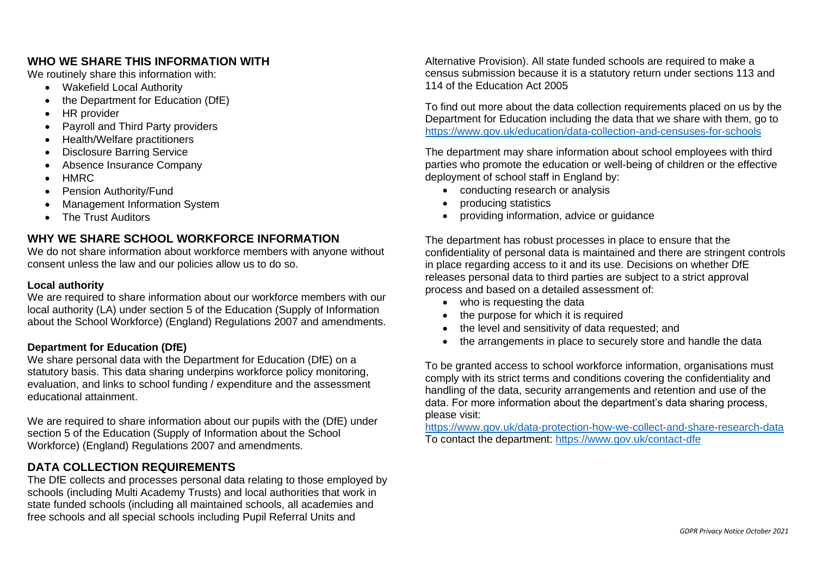#### **WHO WE SHARE THIS INFORMATION WITH**

We routinely share this information with:

- Wakefield Local Authority
- the Department for Education (DfE)
- HR provider
- Payroll and Third Party providers
- Health/Welfare practitioners
- Disclosure Barring Service
- Absence Insurance Company
- HMRC
- Pension Authority/Fund
- Management Information System
- The Trust Auditors

## **WHY WE SHARE SCHOOL WORKFORCE INFORMATION**

We do not share information about workforce members with anyone without consent unless the law and our policies allow us to do so.

#### **Local authority**

We are required to share information about our workforce members with our local authority (LA) under section 5 of the Education (Supply of Information about the School Workforce) (England) Regulations 2007 and amendments.

#### **Department for Education (DfE)**

We share personal data with the Department for Education (DfE) on a statutory basis. This data sharing underpins workforce policy monitoring, evaluation, and links to school funding / expenditure and the assessment educational attainment.

We are required to share information about our pupils with the (DfE) under section 5 of the Education (Supply of Information about the School Workforce) (England) Regulations 2007 and amendments.

## **DATA COLLECTION REQUIREMENTS**

The DfE collects and processes personal data relating to those employed by schools (including Multi Academy Trusts) and local authorities that work in state funded schools (including all maintained schools, all academies and free schools and all special schools including Pupil Referral Units and

Alternative Provision). All state funded schools are required to make a census submission because it is a statutory return under sections 113 and 114 of the Education Act 2005

To find out more about the data collection requirements placed on us by the Department for Education including the data that we share with them, go to <https://www.gov.uk/education/data-collection-and-censuses-for-schools>

The department may share information about school employees with third parties who promote the education or well-being of children or the effective deployment of school staff in England by:

- conducting research or analysis
- producing statistics
- providing information, advice or guidance

The department has robust processes in place to ensure that the confidentiality of personal data is maintained and there are stringent controls in place regarding access to it and its use. Decisions on whether DfE releases personal data to third parties are subject to a strict approval process and based on a detailed assessment of:

- who is requesting the data
- the purpose for which it is required
- the level and sensitivity of data requested; and
- the arrangements in place to securely store and handle the data

To be granted access to school workforce information, organisations must comply with its strict terms and conditions covering the confidentiality and handling of the data, security arrangements and retention and use of the data. For more information about the department's data sharing process, please visit:

<https://www.gov.uk/data-protection-how-we-collect-and-share-research-data> To contact the department:<https://www.gov.uk/contact-dfe>